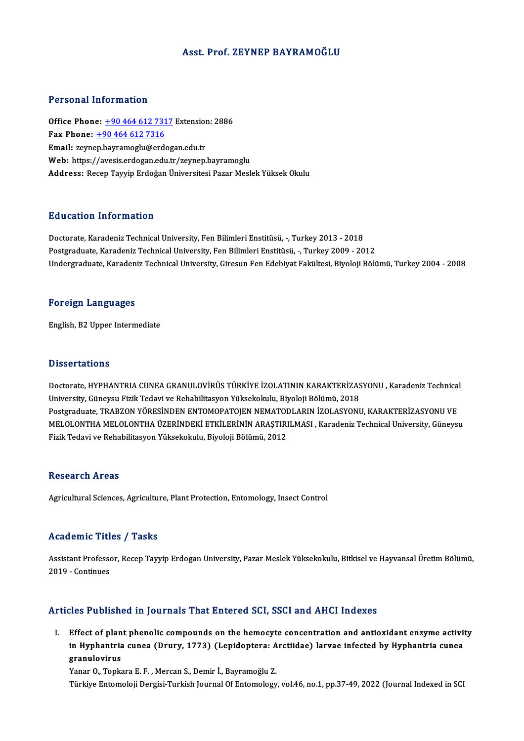#### Asst. Prof. ZEYNEP BAYRAMOĞLU

#### Personal Information

Personal Information<br>Office Phone: <u>+90 464 612 7317</u> Extension: 2886<br>Fax Phone: 190 464 612 7316 Fax Phone:  $\pm 90\,464\,612\,7316$ <br>Email: zeynep.bayramoglu@erdogan.edu.tr Office Phone: <u>+90 464 612 7317</u> Extension<br>Fax Phone: <u>+90 464 612 7316</u><br>Email: zeyn[ep.bayramoglu@erd](tel:+90 464 612 7316)[og](tel:+90 464 612 7317)an.edu.tr Web: https://avesis.erdogan.edu.tr/zeynep.bayramoglu Address: Recep Tayyip Erdoğan Üniversitesi Pazar Meslek Yüksek Okulu

### Education Information

Doctorate, Karadeniz Technical University, Fen Bilimleri Enstitüsü, -, Turkey 2013 - 2018 Postgraduate, Karadeniz Technical University, Fen Bilimleri Enstitüsü, -, Turkey 2009 - 2012 Undergraduate, Karadeniz Technical University, Giresun Fen Edebiyat Fakültesi, Biyoloji Bölümü, Turkey 2004 - 2008

#### Foreign Languages

English,B2Upper Intermediate

#### **Dissertations**

Doctorate, HYPHANTRIA CUNEA GRANULOVİRÜS TÜRKİYE İZOLATININ KARAKTERİZASYONU, Karadeniz Technical University, Güneysu Fizik Tedavi ve Rehabilitasyon Yüksekokulu, Biyoloji Bölümü, 2018 Doctorate, HYPHANTRIA CUNEA GRANULOVİRÜS TÜRKİYE İZOLATININ KARAKTERİZASYONU , Karadeniz Technical<br>University, Güneysu Fizik Tedavi ve Rehabilitasyon Yüksekokulu, Biyoloji Bölümü, 2018<br>Postgraduate, TRABZON YÖRESİNDEN ENTO University, Güneysu Fizik Tedavi ve Rehabilitasyon Yüksekokulu, Biyoloji Bölümü, 2018<br>Postgraduate, TRABZON YÖRESİNDEN ENTOMOPATOJEN NEMATODLARIN İZOLASYONU, KARAKTERİZASYONU VE<br>MELOLONTHA MELOLONTHA ÜZERİNDEKİ ETKİLERİNİN Postgraduate, TRABZON YÖRESİNDEN ENTOMOPATOJEN NEMATOI<br>MELOLONTHA MELOLONTHA ÜZERİNDEKİ ETKİLERİNİN ARAŞTIRI<br>Fizik Tedavi ve Rehabilitasyon Yüksekokulu, Biyoloji Bölümü, 2012 Fizik Tedavi ve Rehabilitasyon Yüksekokulu, Biyoloji Bölümü, 2012<br>Research Areas

Agricultural Sciences, Agriculture, Plant Protection, Entomology, Insect Control

#### Academic Titles / Tasks

**Academic Titles / Tasks**<br>Assistant Professor, Recep Tayyip Erdogan University, Pazar Meslek Yüksekokulu, Bitkisel ve Hayvansal Üretim Bölümü,<br>2019 - Continues Assistant Professo<br>2019 - Continues

# Articles Published in Journals That Entered SCI, SSCI and AHCI Indexes

rticles Published in Journals That Entered SCI, SSCI and AHCI Indexes<br>I. Effect of plant phenolic compounds on the hemocyte concentration and antioxidant enzyme activity<br>in Hyphontria sunse (Drury, 1773) (Lonidantera: Arst ince i deficincu in journale final lincerca cor, escribina final infernations<br>Effect of plant phenolic compounds on the hemocyte concentration and antioxidant enzyme activit<br>in Hyphantria cunea (Drury, 1773) (Lepidoptera: Effect of plan<br>in Hyphantria<br>granulovirus<br><sup>Vonor O</sup> Ton<sup>io</sup> in Hyphantria cunea (Drury, 1773) (Lepidoptera: A<br>granulovirus<br>Yanar O., Topkara E. F. , Mercan S., Demir İ., Bayramoğlu Z.<br>Türkiye Entemoleji Dergisi Turkish Journal Of Entemolegy <mark>granulovirus</mark><br>Yanar O., Topkara E. F. , Mercan S., Demir İ., Bayramoğlu Z.<br>Türkiye Entomoloji Dergisi-Turkish Journal Of Entomology, vol.46, no.1, pp.37-49, 2022 (Journal Indexed in SCI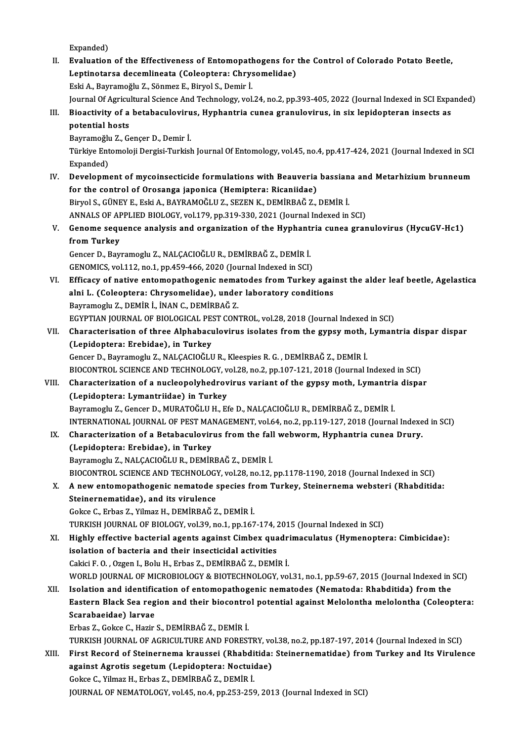Expanded)

Expanded)<br>II. Evaluation of the Effectiveness of Entomopathogens for the Control of Colorado Potato Beetle,<br>Lontingtage desemlinests (Coloenters: Chrysemalidee) Expanded)<br>Evaluation of the Effectiveness of Entomopathogens for<br>Leptinotarsa decemlineata (Coleoptera: Chrysomelidae)<br>Feki A. Permameğlu 7. Sönmer E. Biwel S. Demin İ Leptinotarsa decemlineata (Coleoptera: Chrysomelidae)<br>Eski A., Bayramoğlu Z., Sönmez E., Biryol S., Demir İ. Leptinotarsa decemlineata (Coleoptera: Chrysomelidae)<br>Eski A., Bayramoğlu Z., Sönmez E., Biryol S., Demir İ.<br>Journal Of Agricultural Science And Technology, vol.24, no.2, pp.393-405, 2022 (Journal Indexed in SCI Expanded)<br> Eski A., Bayramoğlu Z., Sönmez E., Biryol S., Demir İ.<br>Journal Of Agricultural Science And Technology, vol.24, no.2, pp.393-405, 2022 (Journal Indexed in SCI Expa<br>III. Bioactivity of a betabaculovirus, Hyphantria cunea Journal Of Agricu<br>Bioactivity of a<br>potential hosts<br><sup>Pouromočlu 7</sup>. C Bioactivity of a betabaculoviru<br>potential hosts<br>Bayramoğlu Z., Gençer D., Demir İ.<br>Türkiye Entemoleji Dergisi Turkisl potential hosts<br>Bayramoğlu Z., Gençer D., Demir İ.<br>Türkiye Entomoloji Dergisi-Turkish Journal Of Entomology, vol.45, no.4, pp.417-424, 2021 (Journal Indexed in SCI Bayramoğlu<br>Türkiye Ent<br>Expanded)<br>Develonm Türkiye Entomoloji Dergisi-Turkish Journal Of Entomology, vol.45, no.4, pp.417-424, 2021 (Journal Indexed in SCI<br>Expanded)<br>IV. Development of mycoinsecticide formulations with Beauveria bassiana and Metarhizium brunneum<br>fo Expanded)<br>Development of mycoinsecticide formulations with Beauveria<br>for the control of Orosanga japonica (Hemiptera: Ricaniidae)<br>Pirvel S. CÜNEV E. Feki A. PAVRAMOČLU Z. SEZEN K. DEMIPRAČ Z. for the control of Orosanga japonica (Hemiptera: Ricaniidae)<br>Biryol S., GÜNEY E., Eski A., BAYRAMOĞLU Z., SEZEN K., DEMİRBAĞ Z., DEMİR İ. for the control of Orosanga japonica (Hemiptera: Ricaniidae)<br>Biryol S., GÜNEY E., Eski A., BAYRAMOĞLU Z., SEZEN K., DEMİRBAĞ Z., DEMİR İ.<br>ANNALS OF APPLIED BIOLOGY, vol.179, pp.319-330, 2021 (Journal Indexed in SCI)<br>Conome Biryol S., GÜNEY E., Eski A., BAYRAMOĞLU Z., SEZEN K., DEMİRBAĞ Z., DEMİR İ.<br>ANNALS OF APPLIED BIOLOGY, vol.179, pp.319-330, 2021 (Journal Indexed in SCI)<br>V. Genome sequence analysis and organization of the Hyphantria ANNALS OF AF<br>Genome sequ<br>from Turkey<br>Censer D. Beyr Genome sequence analysis and organization of the Hyphant<br>from Turkey<br>Gencer D., Bayramoglu Z., NALÇACIOĞLU R., DEMİRBAĞ Z., DEMİR İ.<br>CENOMICS vol 112 no 1 nn 450,466,2020 (Journal Indoved in SCI) fr**om Turkey**<br>Gencer D., Bayramoglu Z., NALÇACIOĞLU R., DEMİRBAĞ Z., DEMİR İ.<br>GENOMICS, vol.112, no.1, pp.459-466, 2020 (Journal Indexed in SCI) Gencer D., Bayramoglu Z., NALÇACIOĞLU R., DEMİRBAĞ Z., DEMİR İ.<br>GENOMICS, vol.112, no.1, pp.459-466, 2020 (Journal Indexed in SCI)<br>VI. Efficacy of native entomopathogenic nematodes from Turkey against the alder leaf beetle GENOMICS, vol.112, no.1, pp.459-466, 2020 (Journal Indexed in SCI)<br>Efficacy of native entomopathogenic nematodes from Turkey agai:<br>alni L. (Coleoptera: Chrysomelidae), under laboratory conditions<br>Bayramagh: Z. DEMIP L. INA Efficacy of native entomopathogenic nema<br>alni L. (Coleoptera: Chrysomelidae), unde:<br>Bayramoglu Z., DEMİR İ., İNAN C., DEMİRBAĞ Z.<br>ECVPTIAN IQUPNAL OF PIOLOCICAL PEST CON: alni L. (Coleoptera: Chrysomelidae), under laboratory conditions<br>Bayramoglu Z., DEMİR İ., İNAN C., DEMİRBAĞ Z.<br>EGYPTIAN JOURNAL OF BIOLOGICAL PEST CONTROL, vol.28, 2018 (Journal Indexed in SCI) Bayramoglu Z., DEMİR İ., İNAN C., DEMİRBAĞ Z.<br>EGYPTIAN JOURNAL OF BIOLOGICAL PEST CONTROL, vol.28, 2018 (Journal Indexed in SCI)<br>VII. Characterisation of three Alphabaculovirus isolates from the gypsy moth, Lymantria d EGYPTIAN JOURNAL OF BIOLOGICAL PES<br>Characterisation of three Alphabact<br>(Lepidoptera: Erebidae), in Turkey<br>Concer D. Bayramogh: 7, NALCACIOČLI (Lepidoptera: Erebidae), in Turkey<br>Gencer D., Bayramoglu Z., NALÇACIOĞLU R., Kleespies R. G. , DEMİRBAĞ Z., DEMİR İ. BIOCONTROL SCIENCE AND TECHNOLOGY, vol.28, no.2, pp.107-121, 2018 (Journal Indexed in SCI) Gencer D., Bayramoglu Z., NALÇACIOĞLU R., Kleespies R. G. , DEMİRBAĞ Z., DEMİR İ.<br>BIOCONTROL SCIENCE AND TECHNOLOGY, vol.28, no.2, pp.107-121, 2018 (Journal Indexed in SCI)<br>VIII. Characterization of a nucleopolyhedrovirus BIOCONTROL SCIENCE AND TECHNOLOGY, v<br>Characterization of a nucleopolyhedrov<br>(Lepidoptera: Lymantriidae) in Turkey<br>Payramoch: 7, Concer D, MUPATOČLU H, Et Characterization of a nucleopolyhedrovirus variant of the gypsy moth, Lymantria<br>(Lepidoptera: Lymantriidae) in Turkey<br>Bayramoglu Z., Gencer D., MURATOĞLU H., Efe D., NALÇACIOĞLU R., DEMİRBAĞ Z., DEMİR İ.<br>INTERNATIONAL JOUR (Lepidoptera: Lymantriidae) in Turkey<br>Bayramoglu Z., Gencer D., MURATOĞLU H., Efe D., NALÇACIOĞLU R., DEMİRBAĞ Z., DEMİR İ.<br>INTERNATIONAL JOURNAL OF PEST MANAGEMENT, vol.64, no.2, pp.119-127, 2018 (Journal Indexed in SCI) IX. Characterization of a Betabaculovirus from the fall webworm, Hyphantria cunea Drury. (Lepidoptera: Erebidae), in Turkey Bayramoglu Z., NALÇACIOĞLU R., DEMİRBAĞ Z., DEMİR İ. BIOCONTROL SCIENCE AND TECHNOLOGY, vol.28, no.12, pp.1178-1190, 2018 (Journal Indexed in SCI) Bayramoglu Z., NALÇACIOĞLU R., DEMİRBAĞ Z., DEMİR İ.<br>BIOCONTROL SCIENCE AND TECHNOLOGY, vol.28, no.12, pp.1178-1190, 2018 (Journal Indexed in SCI)<br>X. A new entomopathogenic nematode species from Turkey, Steinernema webster BIOCONTROL SCIENCE AND TECHNOLOGY<br>A new entomopathogenic nematode s<br>Steinernematidae), and its virulence A new entomopathogenic nematode species fr<br>Steinernematidae), and its virulence<br>Gokce C., Erbas Z., Yilmaz H., DEMİRBAĞ Z., DEMİR İ.<br>TURKISH JOURNAL OF RIQLOCY vel 39 no 1 nn 167 Steinernematidae), and its virulence<br>Gokce C., Erbas Z., Yilmaz H., DEMİRBAĞ Z., DEMİR İ.<br>TURKISH JOURNAL OF BIOLOGY, vol.39, no.1, pp.167-174, 2015 (Journal Indexed in SCI)<br>Hisbly offective basterial asents aseinst Cimbey Gokce C., Erbas Z., Yilmaz H., DEMİRBAĞ Z., DEMİR İ.<br>TURKISH JOURNAL OF BIOLOGY, vol.39, no.1, pp.167-174, 2015 (Journal Indexed in SCI)<br>XI. Highly effective bacterial agents against Cimbex quadrimaculatus (Hymenoptera: Ci TURKISH JOURNAL OF BIOLOGY, vol.39, no.1, pp.167-174, 2<br>Highly effective bacterial agents against Cimbex qua<br>isolation of bacteria and their insecticidal activities CakiciF.O. ,OzgenI.,BoluH.,Erbas Z.,DEMİRBAĞZ.,DEMİRİ. isolation of bacteria and their insecticidal activities<br>Cakici F. O. , Ozgen I., Bolu H., Erbas Z., DEMİRBAĞ Z., DEMİR İ.<br>WORLD JOURNAL OF MICROBIOLOGY & BIOTECHNOLOGY, vol.31, no.1, pp.59-67, 2015 (Journal Indexed in SCI) Cakici F. O. , Ozgen I., Bolu H., Erbas Z., DEMİRBAĞ Z., DEMİR İ.<br>WORLD JOURNAL OF MICROBIOLOGY & BIOTECHNOLOGY, vol.31, no.1, pp.59-67, 2015 (Journal Indexed in )<br>XII. Isolation and identification of entomopathogenic nema WORLD JOURNAL OF MICROBIOLOGY & BIOTECHNOLOGY, vol.31, no.1, pp.59-67, 2015 (Journal Indexed in SCI)<br>Isolation and identification of entomopathogenic nematodes (Nematoda: Rhabditida) from the<br>Eastern Black Sea region and t XII. Isolation and identification of entomopathogenic nematodes (Nematoda: Rhabditida) from the Eastern Black Sea region and their biocontrol potential against Melolontha melolontha (Coleop Scarabaeidae) larvae<br>Erbas Z., G Eastern Black Sea region and their biocontrol potential against Melolontha melolontha (Coleoptera: Scarabaeidae) larvae<br>Erbas Z., Gokce C., Hazir S., DEMİRBAĞ Z., DEMİR İ.<br>TURKISH JOURNAL OF AGRICULTURE AND FORESTRY, vol.38, no.2, pp.187-197, 2014 (Journal Indexed in SCI)<br>Einst Bosord of Stainornome kraussei (Phabditide Erbas Z., Gokce C., Hazir S., DEMİRBAĞ Z., DEMİR İ.<br>TURKISH JOURNAL OF AGRICULTURE AND FORESTRY, vol.38, no.2, pp.187-197, 2014 (Journal Indexed in SCI)<br>XIII. First Record of Steinernema kraussei (Rhabditida: Steinerne TURKISH JOURNAL OF AGRICULTURE AND FORESTRY, vo<br>First Record of Steinernema kraussei (Rhabditida:<br>against Agrotis segetum (Lepidoptera: Noctuidae)<br>Cokse C. Vilmaz H. Erbes Z. DEMIPAČ Z. DEMIP i First Record of Steinernema kraussei (Rhabdi<br>against Agrotis segetum (Lepidoptera: Noctuio<br>Gokce C., Yilmaz H., Erbas Z., DEMİRBAĞ Z., DEMİR İ.<br>JOUPNAL OE NEMATOLOCY, vel 45, no.4, np.353, 259 against Agrotis segetum (Lepidoptera: Noctuidae)<br>Gokce C., Yilmaz H., Erbas Z., DEMİRBAĞ Z., DEMİR İ.<br>JOURNAL OF NEMATOLOGY, vol.45, no.4, pp.253-259, 2013 (Journal Indexed in SCI)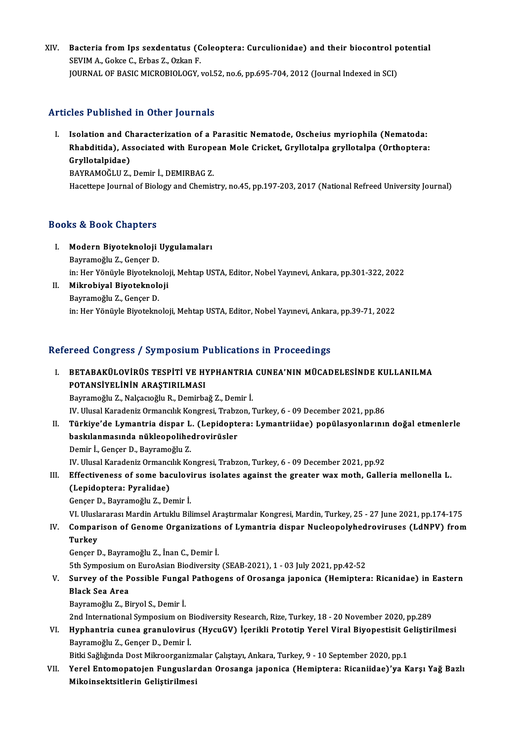XIV. Bacteria from Ips sexdentatus (Coleoptera: Curculionidae) and their biocontrol potential<br>SEVIMA, Colses C. Exhas 7, Orkan E Bacteria from Ips sexdentatus (C<br>SEVIM A., Gokce C., Erbas Z., Ozkan F.<br>JOUPNAL OF PASIC MICPOPIOLOCY . Bacteria from Ips sexdentatus (Coleoptera: Curculionidae) and their biocontrol p<br>SEVIM A., Gokce C., Erbas Z., Ozkan F.<br>JOURNAL OF BASIC MICROBIOLOGY, vol.52, no.6, pp.695-704, 2012 (Journal Indexed in SCI) JOURNAL OF BASIC MICROBIOLOGY, vol.52, no.6, pp.695-704, 2012 (Journal Indexed in SCI)<br>Articles Published in Other Journals

rticles Published in Other Journals<br>I. Isolation and Characterization of a Parasitic Nematode, Oscheius myriophila (Nematoda:<br>Rhebditida), Associated with European Mole Cricket Crylletalne grylletalne (Orthontora Ree Tuenened in Other Journals<br>Isolation and Characterization of a Parasitic Nematode, Oscheius myriophila (Nematoda:<br>Rhabditida), Associated with European Mole Cricket, Gryllotalpa gryllotalpa (Orthoptera:<br>Cryllotalpidae) Isolation and Cl<br>Rhabditida), As<br>Gryllotalpidae)<br>RAVRAMOČLU 7 Rhabditida), Associated with Europe<br>Gryllotalpidae)<br>BAYRAMOĞLU Z., Demir İ., DEMIRBAG Z.<br>Hassttana Jaurnal of Bialagu and Chamis

Gr**yllotalpidae)**<br>BAYRAMOĞLU Z., Demir İ., DEMIRBAG Z.<br>Hacettepe Journal of Biology and Chemistry, no.45, pp.197-203, 2017 (National Refreed University Journal)

### Books&Book Chapters

- ooks & Book Chapters<br>I. Modern Biyoteknoloji Uygulamaları<br>Raymamağlu Z. Cansar D modern Biyoteknoloji<br>Bayramoğlu Z., Gençer D.<br>İn: Her Vênüyle Biyotekno Modern Biyoteknoloji Uygulamaları<br>Bayramoğlu Z., Gençer D.<br>in: Her Yönüyle Biyoteknoloji, Mehtap USTA, Editor, Nobel Yayınevi, Ankara, pp.301-322, 2022<br>Mikrobiyal Biyoteknoloji Bayramoğlu Z., Gençer D.<br>in: Her Yönüyle Biyoteknoloji<br>II. **Mikrobiyal Biyoteknoloji**<br>Bayramoğlu Z., Gençer D.
- in: Her Yönüyle Biyoteknol<br><mark>Mikrobiyal Biyoteknol</mark>o<br>Bayramoğlu Z., Gençer D.<br>in: Her Vönüyle Biyotekno in:Her YönüyleBiyoteknoloji,MehtapUSTA,Editor,NobelYayınevi,Ankara,pp.39-71,2022

## Refereed Congress / Symposium Publications in Proceedings

efereed Congress / Symposium Publications in Proceedings<br>I. BETABAKÜLOVİRÜS TESPİTİ VE HYPHANTRIA CUNEA'NIN MÜCADELESİNDE KULLANILMA<br>POTANSİYELİNİN ARASTIBLI MASI POTANSIYELİNİN ARAŞTIRILMASI<br>POTANSİYELİNİN ARAŞTIRILMASI<br>Pouramağlı 7. Nakaçayêli P. Damirka BETABAKÜLOVİRÜS TESPİTİ VE HYPHANTRIA<br>POTANSİYELİNİN ARAŞTIRILMASI<br>Bayramoğlu Z., Nalçacıoğlu R., Demirbağ Z., Demir İ.<br>IV. Ulusal Karadanir Ormansılık Kansrasi Trahsan İ POTANSİYELİNİN ARAŞTIRILMASI<br>Bayramoğlu Z., Nalçacıoğlu R., Demirbağ Z., Demir İ.<br>IV. Ulusal Karadeniz Ormancılık Kongresi, Trabzon, Turkey, 6 - 09 December 2021, pp.86<br>Türkiye'de Lumantria diapar L. (Lanidantara: Lumantri

Bayramoğlu Z., Nalçacıoğlu R., Demirbağ Z., Demir İ.<br>IV. Ulusal Karadeniz Ormancılık Kongresi, Trabzon, Turkey, 6 - 09 December 2021, pp.86<br>II. Türkiye'de Lymantria dispar L. (Lepidoptera: Lymantriidae) popülasyonların IV. Ulusal Karadeniz Ormancılık Kongresi, Trabz<br>Türkiye'de Lymantria dispar L. (Lepidopte<br>baskılanmasında nükleopolihedrovirüsler<br>Demir L. Conser D. Beyrameğlu Z Türkiye'de Lymantria dispar L<br>baskılanmasında nükleopolihe<br>Demir İ., Gençer D., Bayramoğlu Z.<br>W. Ulucel Karadaniz Ormangılık Ko baskılanmasında nükleopolihedrovirüsler<br>Demir İ., Gençer D., Bayramoğlu Z.<br>IV. Ulusal Karadeniz Ormancılık Kongresi, Trabzon, Turkey, 6 - 09 December 2021, pp.92

## Demir İ., Gençer D., Bayramoğlu Z.<br>IV. Ulusal Karadeniz Ormancılık Kongresi, Trabzon, Turkey, 6 - 09 December 2021, pp.92<br>III. Effectiveness of some baculovirus isolates against the greater wax moth, Galleria mellonella L. IV. Ulusal Karadeniz Ormancı<br>Effectiveness of some bac<br>(Lepidoptera: Pyralidae)<br>Concer D. Bayramoğlu Z. Do Effectiveness of some baculovi<br>(Lepidoptera: Pyralidae)<br>Gençer D., Bayramoğlu Z., Demir İ.<br>VI Uluslararası Mardin Artuklu Bil (Lepidoptera: Pyralidae)<br>Gençer D., Bayramoğlu Z., Demir İ.<br>VI. Uluslararası Mardin Artuklu Bilimsel Araştırmalar Kongresi, Mardin, Turkey, 25 - 27 June 2021, pp.174-175<br>Comparison of Conome Organizations of Lymantria diap

# Gençer D., Bayramoğlu Z., Demir İ.<br>VI. Uluslararası Mardin Artuklu Bilimsel Araştırmalar Kongresi, Mardin, Turkey, 25 - 27 June 2021, pp.174-175<br>IV. Comparison of Genome Organizations of Lymantria dispar Nucleopolyhedr VI. Ulusla<br>Compar<br>Turkey<br>Conser I Comparison of Genome Organizations<br>Turkey<br>Gençer D., Bayramoğlu Z., İnan C., Demir İ.<br>Eth Symnosium en Eure Asian Biodiversity

Turkey<br>Gençer D., Bayramoğlu Z., İnan C., Demir İ.<br>5th Symposium on EuroAsian Biodiversity (SEAB-2021), 1 - 03 July 2021, pp.42-52

## Gençer D., Bayramoğlu Z., İnan C., Demir İ.<br>5th Symposium on EuroAsian Biodiversity (SEAB-2021), 1 - 03 July 2021, pp.42-52<br>V. Survey of the Possible Fungal Pathogens of Orosanga japonica (Hemiptera: Ricanidae) in East 5th Symposium o<br>Survey of the P<br>Black Sea Area<br>Povramoğlu 7–Bi Survey of the Possible Funga<br>Black Sea Area<br>Bayramoğlu Z., Biryol S., Demir İ.<br>2nd International Sumnesium on Black Sea Area<br>Bayramoğlu Z., Biryol S., Demir İ.<br>2nd International Symposium on Biodiversity Research, Rize, Turkey, 18 - 20 November 2020, pp.289

Bayramoğlu Z., Biryol S., Demir İ.<br>2nd International Symposium on Biodiversity Research, Rize, Turkey, 18 - 20 November 2020, pp.289<br>19 - VI. Hyphantria cunea granulovirus (HycuGV) İçerikli Prototip Yerel Viral Biyopes 2nd International Symposium on E<br>Hyphantria cunea granuloviru:<br>Bayramoğlu Z., Gençer D., Demir İ.<br>Bitki Seğlığında Dest Milmoorganiz Hyphantria cunea granulovirus (HycuGV) İçerikli Prototip Yerel Viral Biyopestisit Gondinic Bayramoğlu Z., Gençer D., Demir İ.<br>Bitki Sağlığında Dost Mikroorganizmalar Çalıştayı, Ankara, Turkey, 9 - 10 September 2020, pp.1<br>Y

Bitki Sağlığında Dost Mikroorganizmalar Çalıştayı, Ankara, Turkey, 9 - 10 September 2020, pp.1

# Bayramoğlu Z., Gençer D., Demir İ.<br>Bitki Sağlığında Dost Mikroorganizmalar Çalıştayı, Ankara, Turkey, 9 - 10 September 2020, pp.1<br>VII. Yerel Entomopatojen Funguslardan Orosanga japonica (Hemiptera: Ricaniidae)'ya Karşı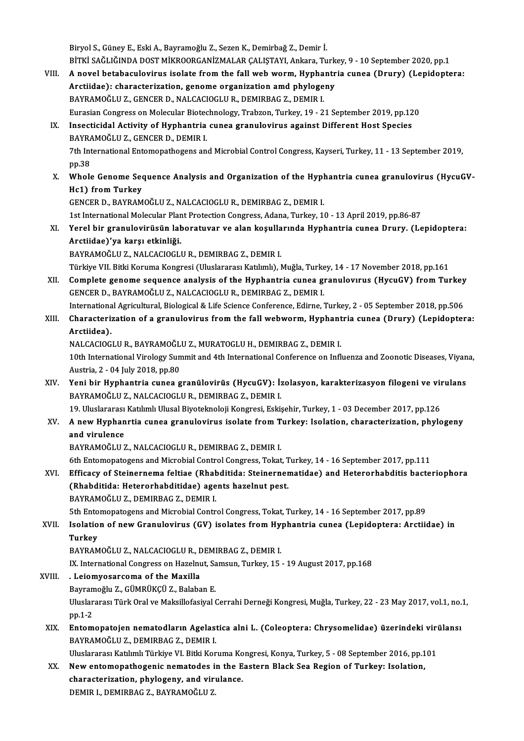BiryolS.,GüneyE.,EskiA.,Bayramoğlu Z.,SezenK.,Demirbağ Z.,Demir İ. Biryol S., Güney E., Eski A., Bayramoğlu Z., Sezen K., Demirbağ Z., Demir İ.<br>BİTKİ SAĞLIĞINDA DOST MİKROORGANİZMALAR ÇALIŞTAYI, Ankara, Turkey, 9 - 10 September 2020, pp.1<br>A novel betebesylevinus iselete from the fall web Biryol S., Güney E., Eski A., Bayramoğlu Z., Sezen K., Demirbağ Z., Demir İ.<br>BİTKİ SAĞLIĞINDA DOST MİKROORGANİZMALAR ÇALIŞTAYI, Ankara, Turkey, 9 - 10 September 2020, pp.1<br>VIII. A novel betabaculovirus isolate from the

BİTKİ SAĞLIĞINDA DOST MİKROORGANİZMALAR ÇALIŞTAYI, Ankara, Turk<br>A novel betabaculovirus isolate from the fall web worm, Hyphantr<br>Arctiidae): characterization, genome organization amd phylogeny<br>BAYRAMOĞLUZ, CENCER D. NALCAC A novel betabaculovirus isolate from the fall web worm, Hypha<br>Arctiidae): characterization, genome organization amd phyloge<br>BAYRAMOĞLU Z., GENCER D., NALCACIOGLU R., DEMIRBAG Z., DEMIR I.<br>Eurasian Congress on Mologular Bis Arctiidae): characterization, genome organization amd phylogeny<br>BAYRAMOĞLU Z., GENCER D., NALCACIOGLU R., DEMIRBAG Z., DEMIR I.<br>Eurasian Congress on Molecular Biotechnology, Trabzon, Turkey, 19 - 21 September 2019, pp.120 BAYRAMOĞLU Z., GENCER D., NALCACIOGLU R., DEMIRBAG Z., DEMIR I.<br>Eurasian Congress on Molecular Biotechnology, Trabzon, Turkey, 19 - 21 September 2019, pp.12<br>IX. Insecticidal Activity of Hyphantria cunea granulovirus agains Eurasian Congress on Molecular Biotec<br>Insecticidal Activity of Hyphantria<br>BAYRAMOĞLU Z., GENCER D., DEMIR I.<br>7th International Entemanathegens an Insecticidal Activity of Hyphantria cunea granulovirus against Different Host Species<br>BAYRAMOĞLU Z., GENCER D., DEMIR I.<br>7th International Entomopathogens and Microbial Control Congress, Kayseri, Turkey, 11 - 13 September BAYRA<br>7th Int<br>pp.38<br>Whole Th International Entomopathogens and Microbial Control Congress, Kayseri, Turkey, 11 - 13 September 2019,<br>pp.38<br>X. Whole Genome Sequence Analysis and Organization of the Hyphantria cunea granulovirus (HycuGV-<br>He1) from Tur pp.38<br>Whole Genome Sec<br>Hc1) from Turkey<br>CENCER D. BAYBAM Whole Genome Sequence Analysis and Organization of the Hypl<br>Hc1) from Turkey<br>GENCER D., BAYRAMOĞLU Z., NALCACIOGLU R., DEMIRBAG Z., DEMIR I.<br>1st International Molecular Plant Pretection Congress, Adape, Turkey, 14 Hc1) from Turkey<br>GENCER D., BAYRAMOĞLU Z., NALCACIOGLU R., DEMIRBAG Z., DEMIR I.<br>1st International Molecular Plant Protection Congress, Adana, Turkey, 10 - 13 April 2019, pp.86-87<br>Yorel bin grapulexinüsün leberatuyen ve el GENCER D., BAYRAMOĞLU Z., NALCACIOGLU R., DEMIRBAG Z., DEMIR I.<br>1st International Molecular Plant Protection Congress, Adana, Turkey, 10 - 13 April 2019, pp.86-87<br>XI. Yerel bir granulovirüsün laboratuvar ve alan koşull 1st International Molecular Plan<br>Yerel bir granulovirüsün lah<br>Arctiidae)'ya karşı etkinliği.<br>BAVRAMOĞLU 7. NALCAGIOCLI Yerel bir granulovirüsün laboratuvar ve alan koşulla<br>Arctiidae)'ya karşı etkinliği.<br>BAYRAMOĞLU Z., NALCACIOGLU R., DEMIRBAG Z., DEMIR I.<br>Türkiye VII. Bitki Keruma Kanaresi (Illuslararesi Katlunh). I Arctiidae)'ya karşı etkinliği.<br>BAYRAMOĞLU Z., NALCACIOGLU R., DEMIRBAG Z., DEMIR I.<br>Türkiye VII. Bitki Koruma Kongresi (Uluslararası Katılımlı), Muğla, Turkey, 14 - 17 November 2018, pp.161 BAYRAMOĞLU Z., NALCACIOGLU R., DEMIRBAG Z., DEMIR I.<br>Türkiye VII. Bitki Koruma Kongresi (Uluslararası Katılımlı), Muğla, Turkey, 14 - 17 November 2018, pp.161<br>XII. Complete genome sequence analysis of the Hyphantria cunea GENCERD.,BAYRAMOĞLUZ.,NALCACIOGLUR.,DEMIRBAGZ.,DEMIRI. Complete genome sequence analysis of the Hyphantria cunea granulovirus (HycuGV) from Turkey<br>GENCER D., BAYRAMOĞLU Z., NALCACIOGLU R., DEMIRBAG Z., DEMIR I.<br>International Agricultural, Biological & Life Science Conference, XIII. Characterization of a granulovirus from the fall webworm, Hyphantria cunea (Drury) (Lepidoptera:<br>Arctiidea). International Agricultural, Biological & Life Science Conference, Edirne, Turkey, 2 - 05 September 2018, pp.506 Characterization of a granulovirus from the fall webworm, Hyphant<br>Arctiidea).<br>NALCACIOGLU R., BAYRAMOĞLU Z., MURATOGLU H., DEMIRBAG Z., DEMIR I.<br>10th International Virolegy Summit and 4th International Conference on Infl Arctiidea).<br>NALCACIOGLU R., BAYRAMOĞLU Z., MURATOGLU H., DEMIRBAG Z., DEMIR I.<br>10th International Virology Summit and 4th International Conference on Influenza and Zoonotic Diseases, Viyana,<br>Austria. 3., 04 July 2018, pp.8 NALCACIOGLU R., BAYRAMOĞL<br>10th International Virology Sun<br>Austria, 2 - 04 July 2018, pp.80<br>Yoni bir Hunbantria sunas C 10th International Virology Summit and 4th International Conference on Influenza and Zoonotic Diseases, Viyan<br>Austria, 2 - 04 July 2018, pp.80<br>XIV. Yeni bir Hyphantria cunea granülovirüs (HycuGV): İzolasyon, karakterizasyo Austria, 2 - 04 July 2018, pp.80<br>XIV. Yeni bir Hyphantria cunea granülovirüs (HycuGV): İzolasyon, karakterizasyon filogeni ve virulans<br>BAYRAMOĞLU Z., NALCACIOGLU R., DEMIRBAG Z., DEMIR I. Yeni bir Hyphantria cunea granülovirüs (HycuGV): İzolasyon, karakterizasyon filogeni ve vil<br>BAYRAMOĞLU Z., NALCACIOGLU R., DEMIRBAG Z., DEMIR I.<br>19. Uluslararası Katılımlı Ulusal Biyoteknoloji Kongresi, Eskişehir, Turkey, XV. A newHyphanrtia cunea granulovirus isolate fromTurkey: Isolation, characterization, phylogeny 19. Uluslararası<br>A new Hyphan<br>and virulence<br>PAVPAMOČULI BAYRAMOĞLU Z., NALCACIOGLU R., DEMIRBAG Z., DEMIR I. 6th Entomopatogens and Microbial Control Congress, Tokat, Turkey, 14 - 16 September 2017, pp.111 BAYRAMOĞLU Z., NALCACIOGLU R., DEMIRBAG Z., DEMIR I.<br>6th Entomopatogens and Microbial Control Congress, Tokat, Turkey, 14 - 16 September 2017, pp.111<br>XVI. Efficacy of Steinernema feltiae (Rhabditida: Steinernematidae) 6th Entomopatogens and Microbial Control Congress, Tokat, T<br>Efficacy of Steinernema feltiae (Rhabditida: Steinerner<br>(Rhabditida: Heterorhabditidae) agents hazelnut pest.<br>RAYRAMOČLUZ, DEMIRAC Z, DEMIR L Efficacy of Steinernema feltiae (Rhah)<br>(Rhabditida: Heterorhabditidae) age<br>BAYRAMOĞLU Z., DEMIRBAG Z., DEMIR I.<br>Eth Entemenstegens and Missebiel Centr (Rhabditida: Heterorhabditidae) agents hazelnut pest.<br>BAYRAMOĞLU Z., DEMIRBAG Z., DEMIR I.<br>5th Entomopatogens and Microbial Control Congress, Tokat, Turkey, 14 - 16 September 2017, pp.89 BAYRAMOĞLU Z., DEMIRBAG Z., DEMIR I.<br>5th Entomopatogens and Microbial Control Congress, Tokat, Turkey, 14 - 16 September 2017, pp.89<br>XVII. Isolation of new Granulovirus (GV) isolates from Hyphantria cunea (Lepidoptera: **5th Ento<br>Isolatio<br>Turkey<br>PAVPAM** Isolation of new Granulovirus (GV) isolates from Hy<br>Turkey<br>BAYRAMOĞLU Z., NALCACIOGLU R., DEMIRBAG Z., DEMIR I.<br>IV. International Congress on Hagelput, Samsun, Turkey, 15. Turkey<br>BAYRAMOĞLU Z., NALCACIOGLU R., DEMIRBAG Z., DEMIR I.<br>IX. International Congress on Hazelnut, Samsun, Turkey, 15 - 19 August 2017, pp.168<br>- Lejamyesarsema of the Mayilla BAYRAMOĞLU Z., NALCACIOGLU R., DEMIRBAG Z., DEMIR I.<br>IX. International Congress on Hazelnut, Samsun, Turkey, 15<br>XVIII. . Leiomyosarcoma of the Maxilla IX. International Congress on Hazelnut, Sa<br>. Leiomyosarcoma of the Maxilla<br>Bayramoğlu Z., GÜMRÜKÇÜ Z., Balaban E.<br>Uluslarares: Türk Oral ve Maksillefesiyal ( Uluslararası Türk Oral ve Maksillofasiyal Cerrahi Derneği Kongresi, Muğla, Turkey, 22 - 23 May 2017, vol.1, no.1,<br>pp.1-2 Bayramoğlu Z., GÜMRÜKÇÜ Z., Balaban E. Uluslararası Türk Oral ve Maksillofasiyal Cerrahi Derneği Kongresi, Muğla, Turkey, 22 - 23 May 2017, vol.1, no.<br>2 pp.1-2<br>XIX. Entomopatojen nematodların Agelastica alni L. (Coleoptera: Chrysomelidae) üzerindeki virülansı BAYRAMOĞLUZ.,DEMIRBAGZ.,DEMIRI. Entomopatojen nematodların Agelastica alni L. (Coleoptera: Chrysomelidae) üzerindeki viri<br>BAYRAMOĞLU Z., DEMIRBAG Z., DEMIR I.<br>Uluslararası Katılımlı Türkiye VI. Bitki Koruma Kongresi, Konya, Turkey, 5 - 08 September 2016, BAYRAMOĞLU Z., DEMIRBAG Z., DEMIR I.<br>Uluslararası Katılımlı Türkiye VI. Bitki Koruma Kongresi, Konya, Turkey, 5 - 08 September 2016, pp.1<br>XX. New entomopathogenic nematodes in the Eastern Black Sea Region of Turkey: Isolat Uluslararası Katılımlı Türkiye VI. Bitki Koruma Ko<br>New entomopathogenic nematodes in the E<br>characterization, phylogeny, and virulance.<br>DEMIR L DEMIRPAC 7, PAYRAMOČLU 7 New entomopathogenic nematodes in the Eastern Black Sea Region of Turkey: Isolation, characterization, phylogeny, and virulance.<br>DEMIR L. DEMIRBAG Z., BAYRAMOĞLU Z.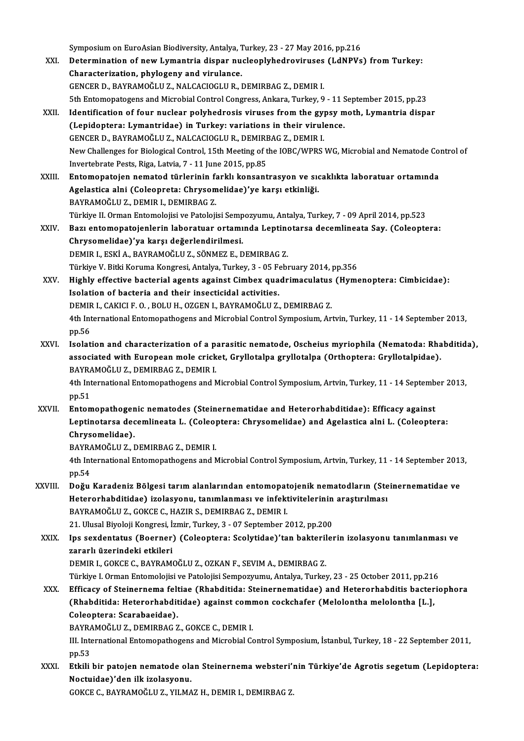Symposium on EuroAsian Biodiversity, Antalya, Turkey, 23 - 27 May 2016, pp.216<br>Determination of now Lymantrie dianer nucleonlyhedrovinuses (LdNPVe XXI. Determination of new Lymantria dispar nucleoplyhedroviruses (LdNPVs) from Turkey:<br>Characterization, phylogeny and virulance. Symposium on EuroAsian Biodiversity, Antalya, 1<br>Determination of new Lymantria dispar nu<br>Characterization, phylogeny and virulance.<br>CENCEP D. BAYPAMOČLUZ, NALCACIOCLUP, 1 GENCERD.,BAYRAMOĞLUZ.,NALCACIOGLUR.,DEMIRBAGZ.,DEMIRI. 5th Entomopatogens and Microbial Control Congress, Ankara, Turkey, 9 - 11 September 2015, pp.23 XXII. Identification of four nuclear polyhedrosis viruses from the gypsy moth, Lymantria dispar 5th Entomopatogens and Microbial Control Congress, Ankara, Turkey, 9 - 11 S<br>Identification of four nuclear polyhedrosis viruses from the gypsy m<br>(Lepidoptera: Lymantridae) in Turkey: variations in their virulence.<br>CENCEP D Identification of four nuclear polyhedrosis viruses from the gy<br>(Lepidoptera: Lymantridae) in Turkey: variations in their virul<br>GENCER D., BAYRAMOĞLU Z., NALCACIOGLU R., DEMIRBAG Z., DEMIR I.<br>Nau Challanges for Biological GENCER D., BAYRAMOĞLU Z., NALCACIOGLU R., DEMIRBAG Z., DEMIR I.<br>New Challenges for Biological Control, 15th Meeting of the IOBC/WPRS WG, Microbial and Nematode Control of Invertebrate Pests, Riga, Latvia, 7 - 11 June 2015, pp.85 New Challenges for Biological Control, 15th Meeting of the IOBC/WPRS WG, Microbial and Nematode Co<br>Invertebrate Pests, Riga, Latvia, 7 - 11 June 2015, pp.85<br>XXIII. Entomopatojen nematod türlerinin farklı konsantrasyon ve s Invertebrate Pests, Riga, Latvia, 7 - 11 June 2015, pp.85<br>Entomopatojen nematod türlerinin farklı konsantrasyon ve sıq<br>Agelastica alni (Coleopreta: Chrysomelidae)'ye karşı etkinliği.<br>RAYRAMOČLU Z. DEMIR L. DEMIRRAC Z. Entomopatojen nematod türlerinin fa<br>Agelastica alni (Coleopreta: Chrysom<br>BAYRAMOĞLU Z., DEMIR I., DEMIRBAG Z.<br>Türkiye II. Orman Entemelejisi ve Bateleji Agelastica alni (Coleopreta: Chrysomelidae)'ye karşı etkinliği.<br>BAYRAMOĞLU Z., DEMIR I., DEMIRBAG Z.<br>Türkiye II. Orman Entomolojisi ve Patolojisi Sempozyumu, Antalya, Turkey, 7 - 09 April 2014, pp.523<br>Begi entemenatejanlar BAYRAMOĞLU Z., DEMIR I., DEMIRBAG Z.<br>Türkiye II. Orman Entomolojisi ve Patolojisi Sempozyumu, Antalya, Turkey, 7 - 09 April 2014, pp.523<br>XXIV. Bazı entomopatojenlerin laboratuar ortamında Leptinotarsa decemlineata Say. Türkiye II. Orman Entomolojisi ve Patolojisi Semp<br>Bazı entomopatojenlerin laboratuar ortamı<br>Chrysomelidae)'ya karşı değerlendirilmesi.<br>DEMIR I. ESKİ A. RAYRAMOĞLU Z. SÖNMEZ E. D Bazı entomopatojenlerin laboratuar ortamında Leptinotarsa decemlineata Say. (Coleoptera:<br>Chrysomelidae)'ya karşı değerlendirilmesi.<br>DEMIR I., ESKİ A., BAYRAMOĞLU Z., SÖNMEZ E., DEMIRBAG Z. Türkiye V. Bitki Koruma Kongresi, Antalya, Turkey, 3 - 05 February 2014, pp.356 DEMIR I., ESKİ A., BAYRAMOĞLU Z., SÖNMEZ E., DEMIRBAG Z.<br>Türkiye V. Bitki Koruma Kongresi, Antalya, Turkey, 3 - 05 February 2014, pp.356<br>XXV. Highly effective bacterial agents against Cimbex quadrimaculatus (Hymenopter Türkiye V. Bitki Koruma Kongresi, Antalya, Turkey, 3 - 05 F<br>Highly effective bacterial agents against Cimbex qua<br>Isolation of bacteria and their insecticidal activities.<br>REMIR L GAKICLE O. BOLUH, OZCENT BAYRAMOČULZ Highly effective bacterial agents against Cimbex quadrimaculatus<br>Isolation of bacteria and their insecticidal activities.<br>DEMIR I., CAKICI F. O. , BOLU H., OZGEN I., BAYRAMOĞLU Z., DEMIRBAG Z.<br>4th International Entemenathe 1th International Entomopathogens and Microbial Control Symposium, Artvin, Turkey, 11 - 14 September 2013,<br>1. Ath International Entomopathogens and Microbial Control Symposium, Artvin, Turkey, 11 - 14 September 2013,<br>1. pp DEMIR I., CAKICI F. O., BOLU H., OZGEN I., BAYRAMOĞLU Z., DEMIRBAG Z. 4th International Entomopathogens and Microbial Control Symposium, Artvin, Turkey, 11 - 14 September 2013,<br>pp.56<br>XXVI. Isolation and characterization of a parasitic nematode, Oscheius myriophila (Nematoda: Rhabditida),<br>ass pp.56<br>Isolation and characterization of a parasitic nematode, Oscheius myriophila (Nematoda: Rha<br>associated with European mole cricket, Gryllotalpa gryllotalpa (Orthoptera: Gryllotalpidae).<br>RAYRAMOČLU Z. DEMIRRAC Z. DEMIR associated with European mole cricket, Gryllotalpa gryllotalpa (Orthoptera: Gryllotalpidae).<br>BAYRAMOĞLU Z., DEMIRBAG Z., DEMIR I. associated with European mole cricket, Gryllotalpa gryllotalpa (Orthoptera: Gryllotalpidae).<br>BAYRAMOĞLU Z., DEMIRBAG Z., DEMIR I.<br>4th International Entomopathogens and Microbial Control Symposium, Artvin, Turkey, 11 - 14 S BAYRA<br>4th Int<br>pp.51<br>Enter 4th International Entomopathogens and Microbial Control Symposium, Artvin, Turkey, 11 - 14 Septemb<br>pp.51<br>XXVII. Entomopathogenic nematodes (Steinernematidae and Heterorhabditidae): Efficacy against<br>Lentingtogene decembinan pp.51<br>Entomopathogenic nematodes (Steinernematidae and Heterorhabditidae): Efficacy against<br>Leptinotarsa decemlineata L. (Coleoptera: Chrysomelidae) and Agelastica alni L. (Coleoptera:<br>Chrysomelidae) Entomopathogen<br>Leptinotarsa dec<br>Chrysomelidae).<br>PAYPAMOČLUZ I Leptinotarsa decemlineata L. (Coleo<sub>l</sub><br>Chrysomelidae).<br>BAYRAMOĞLU Z., DEMIRBAG Z., DEMIR I.<br>4th International Entemenathegens and A Chrysomelidae).<br>BAYRAMOĞLU Z., DEMIRBAG Z., DEMIR I.<br>4th International Entomopathogens and Microbial Control Symposium, Artvin, Turkey, 11 - 14 September 2013,<br>pp.54 BAYRA<br>4th Int<br>pp.54<br>Dožu 4th International Entomopathogens and Microbial Control Symposium, Artvin, Turkey, 11 - 14 September 2013<br>pp.54<br>XXVIII. Doğu Karadeniz Bölgesi tarım alanlarından entomopatojenik nematodların (Steinernematidae ve pp.54<br>Doğu Karadeniz Bölgesi tarım alanlarından entomopatojenik nematodların (Ste<br>Heterorhabditidae) izolasyonu, tanımlanması ve infektivitelerinin araştırılması<br>RAXRAMOČLU 7, COKCE G. HAZIR S. DEMIRRAC 7, DEMIR L Doğu Karadeniz Bölgesi tarım alanlarından entomopat<br>Heterorhabditidae) izolasyonu, tanımlanması ve infekt<br>BAYRAMOĞLU Z., GOKCE C., HAZIR S., DEMIRBAG Z., DEMIR I.<br>21 Hlucal Bivolaji Kangresi, İsmir Turkay 2., 07 Santambar Heterorhabditidae) izolasyonu, tanımlanması ve infektivitelerinin<br>BAYRAMOĞLU Z., GOKCE C., HAZIR S., DEMIRBAG Z., DEMIR I.<br>21. Ulusal Biyoloji Kongresi, İzmir, Turkey, 3 - 07 September 2012, pp.200<br>Ins sexdentatus (Beerner BAYRAMOĞLU Z., GOKCE C., HAZIR S., DEMIRBAG Z., DEMIR I.<br>21. Ulusal Biyoloji Kongresi, İzmir, Turkey, 3 - 07 September 2012, pp.200<br>XXIX. Ips sexdentatus (Boerner) (Coleoptera: Scolytidae)'tan bakterilerin izolasyonu t 21. Ulusal Biyoloji Kongresi, İ:<br>Ips sexdentatus (Boerner)<br>zararlı üzerindeki etkileri<br>DEMIB L COKCE C. BAYBAM DEMIRI.,GOKCEC.,BAYRAMOĞLUZ.,OZKANF.,SEVIMA.,DEMIRBAGZ. zararlı üzerindeki etkileri<br>DEMIR I., GOKCE C., BAYRAMOĞLU Z., OZKAN F., SEVIM A., DEMIRBAG Z.<br>Türkiye I. Orman Entomolojisi ve Patolojisi Sempozyumu, Antalya, Turkey, 23 - 25 October 2011, pp.216<br>Efficesu of Steinernome f DEMIR I., GOKCE C., BAYRAMOĞLU Z., OZKAN F., SEVIM A., DEMIRBAG Z.<br>Türkiye I. Orman Entomolojisi ve Patolojisi Sempozyumu, Antalya, Turkey, 23 - 25 October 2011, pp.216<br>XXX. Efficacy of Steinernema feltiae (Rhabditida: Ste Türkiye I. Orman Entomolojisi ve Patolojisi Sempozyumu, Antalya, Turkey, 23 - 25 October 2011, pp.216<br>Efficacy of Steinernema feltiae (Rhabditida: Steinernematidae) and Heterorhabditis bacter<br>(Rhabditida: Heterorhabditidae Efficacy of Steinernema felt<br>(Rhabditida: Heterorhabdit<br>Coleoptera: Scarabaeidae).<br>PAVPAMOČLUZ, DEMIPPAC 7 (Rhabditida: Heterorhabditidae) against common cockchafer (Melolontha melolontha [L.],<br>Coleoptera: Scarabaeidae).<br>BAYRAMOĞLU Z., DEMIRBAG Z., GOKCE C., DEMIR I. Coleoptera: Scarabaeidae).<br>BAYRAMOĞLU Z., DEMIRBAG Z., GOKCE C., DEMIR I.<br>III. International Entomopathogens and Microbial Control Symposium, İstanbul, Turkey, 18 - 22 September 2011,<br>nn 52 **BAYRA**<br>III. Inte<br>pp.53<br>Ethili III. International Entomopathogens and Microbial Control Symposium, İstanbul, Turkey, 18 - 22 September 2011,<br>2011, pp.53<br>XXXI. Etkili bir patojen nematode olan Steinernema websteri'nin Türkiye'de Agrotis segetum (Lepidopt pp.53<br>Etkili bir patojen nematode ola<br>Noctuidae)'den ilk izolasyonu.<br>COKCE C. BAYBAMOČLU Z. VU MA Etkili bir patojen nematode olan Steinernema websteri'ı<br>Noctuidae)'den ilk izolasyonu.<br>GOKCE C., BAYRAMOĞLU Z., YILMAZ H., DEMIR I., DEMIRBAG Z.